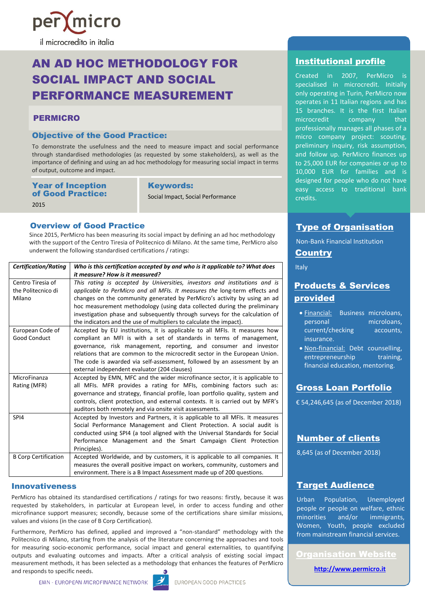

# AN AD HOC METHODOLOGY FOR SOCIAL IMPACT AND SOCIAL PERFORMANCE MEASUREMENT

### PERMICRO

#### Objective of the Good Practice:

To demonstrate the usefulness and the need to measure impact and social performance through standardised methodologies (as requested by some stakeholders), as well as the importance of defining and using an ad hoc methodology for measuring social impact in terms of output, outcome and impact.

| <b>Year of Inception</b> |
|--------------------------|
| of Good Practice:        |
| 2015                     |

Keywords:

Social Impact, Social Performance

### Overview of Good Practice

Since 2015, PerMicro has been measuring its social impact by defining an ad hoc methodology with the support of the Centro Tiresia of Politecnico di Milano. At the same time, PerMicro also underwent the following standardised certifications / ratings:

| <b>Certification/Rating</b> | Who is this certification accepted by and who is it applicable to? What does   |
|-----------------------------|--------------------------------------------------------------------------------|
|                             | it measure? How is it measured?                                                |
| Centro Tiresia of           | This rating is accepted by Universities, investors and institutions and is     |
| the Politecnico di          | applicable to PerMicro and all MFIs. It measures the long-term effects and     |
| Milano                      | changes on the community generated by PerMicro's activity by using an ad       |
|                             | hoc measurement methodology (using data collected during the preliminary       |
|                             | investigation phase and subsequently through surveys for the calculation of    |
|                             | the indicators and the use of multipliers to calculate the impact).            |
| European Code of            | Accepted by EU institutions, it is applicable to all MFIs. It measures how     |
| <b>Good Conduct</b>         | compliant an MFI is with a set of standards in terms of management,            |
|                             | governance, risk management, reporting, and consumer and investor              |
|                             | relations that are common to the microcredit sector in the European Union.     |
|                             | The code is awarded via self-assessment, followed by an assessment by an       |
|                             | external independent evaluator (204 clauses)                                   |
| MicroFinanza                | Accepted by EMN, MFC and the wider microfinance sector, it is applicable to    |
| Rating (MFR)                | all MFIs. MFR provides a rating for MFIs, combining factors such as:           |
|                             | governance and strategy, financial profile, loan portfolio quality, system and |
|                             | controls, client protection, and external contexts. It is carried out by MFR's |
|                             | auditors both remotely and via onsite visit assessments.                       |
| SPI4                        | Accepted by Investors and Partners, it is applicable to all MFIs. It measures  |
|                             | Social Performance Management and Client Protection. A social audit is         |
|                             | conducted using SPI4 (a tool aligned with the Universal Standards for Social   |
|                             | Performance Management and the Smart Campaign Client Protection                |
|                             | Principles).                                                                   |
| <b>B Corp Certification</b> | Accepted Worldwide, and by customers, it is applicable to all companies. It    |
|                             | measures the overall positive impact on workers, community, customers and      |
|                             | environment. There is a B Impact Assessment made up of 200 questions.          |

#### Innovativeness

PerMicro has obtained its standardised certifications / ratings for two reasons: firstly, because it was requested by stakeholders, in particular at European level, in order to access funding and other microfinance support measures; secondly, because some of the certifications share similar missions, values and visions (in the case of B Corp Certification).

Furthermore, PerMicro has defined, applied and improved a "non-standard" methodology with the Politecnico di Milano, starting from the analysis of the literature concerning the approaches and tools for measuring socio-economic performance, social impact and general externalities, to quantifying outputs and evaluating outcomes and impacts. After a critical analysis of existing social impact measurement methods, it has been selected as a methodology that enhances the features of PerMicro and responds to specific needs.



# Institutional profile

Created in 2007, PerMicro is specialised in microcredit. Initially only operating in Turin, PerMicro now operates in 11 Italian regions and has 15 branches. It is the first Italian<br>microcredit company that microcredit company that professionally manages all phases of a micro company project: scouting, preliminary inquiry, risk assumption, and follow up. PerMicro finances up to 25,000 EUR for companies or up to 10,000 EUR for families and is designed for people who do not have easy access to traditional bank credits.

# Type of Organisation

Non-Bank Financial Institution **Country** 

Italy

# Products & Services provided

- Financial: Business microloans, personal microloans, current/checking accounts, insurance.
- Non-financial: Debt counselling, entrepreneurship training. financial education, mentoring.

# Gross Loan Portfolio

€ 54,246,645 (as of December 2018)

# Number of clients

8,645 (as of December 2018)

## Target Audience

Urban Population, Unemployed people or people on welfare, ethnic minorities and/or immigrants, Women, Youth, people excluded from mainstream financial services.

Organisation Website

**http://www.permicro.it**